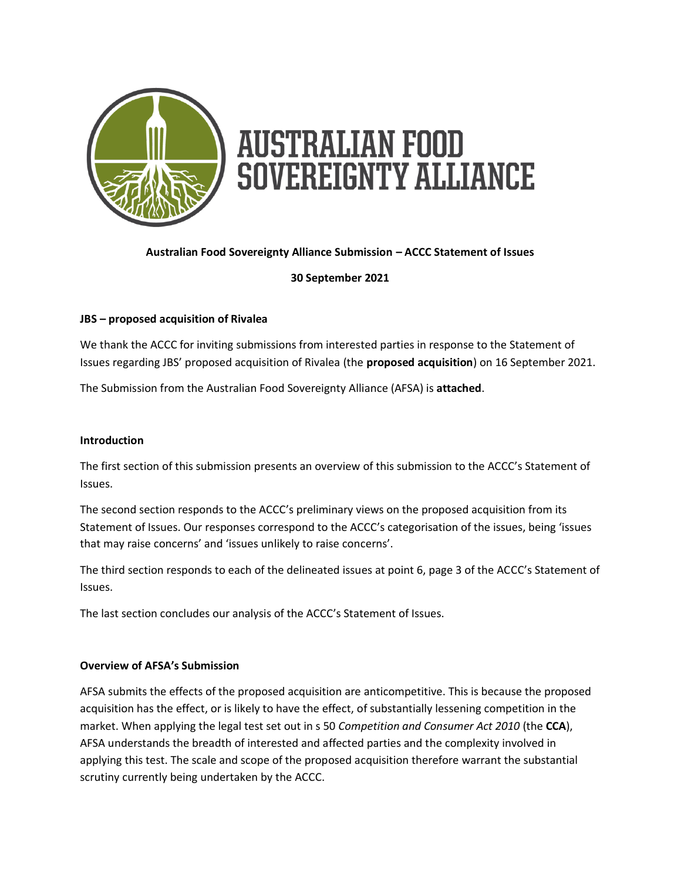

## **Australian Food Sovereignty Alliance Submission – ACCC Statement of Issues**

**30 September 2021**

## **JBS – proposed acquisition of Rivalea**

We thank the ACCC for inviting submissions from interested parties in response to the Statement of Issues regarding JBS' proposed acquisition of Rivalea (the **proposed acquisition**) on 16 September 2021.

The Submission from the Australian Food Sovereignty Alliance (AFSA) is **attached**.

#### **Introduction**

The first section of this submission presents an overview of this submission to the ACCC's Statement of Issues.

The second section responds to the ACCC's preliminary views on the proposed acquisition from its Statement of Issues. Our responses correspond to the ACCC's categorisation of the issues, being 'issues that may raise concerns' and 'issues unlikely to raise concerns'.

The third section responds to each of the delineated issues at point 6, page 3 of the ACCC's Statement of Issues.

The last section concludes our analysis of the ACCC's Statement of Issues.

#### **Overview of AFSA's Submission**

AFSA submits the effects of the proposed acquisition are anticompetitive. This is because the proposed acquisition has the effect, or is likely to have the effect, of substantially lessening competition in the market. When applying the legal test set out in s 50 *Competition and Consumer Act 2010* (the **CCA**), AFSA understands the breadth of interested and affected parties and the complexity involved in applying this test. The scale and scope of the proposed acquisition therefore warrant the substantial scrutiny currently being undertaken by the ACCC.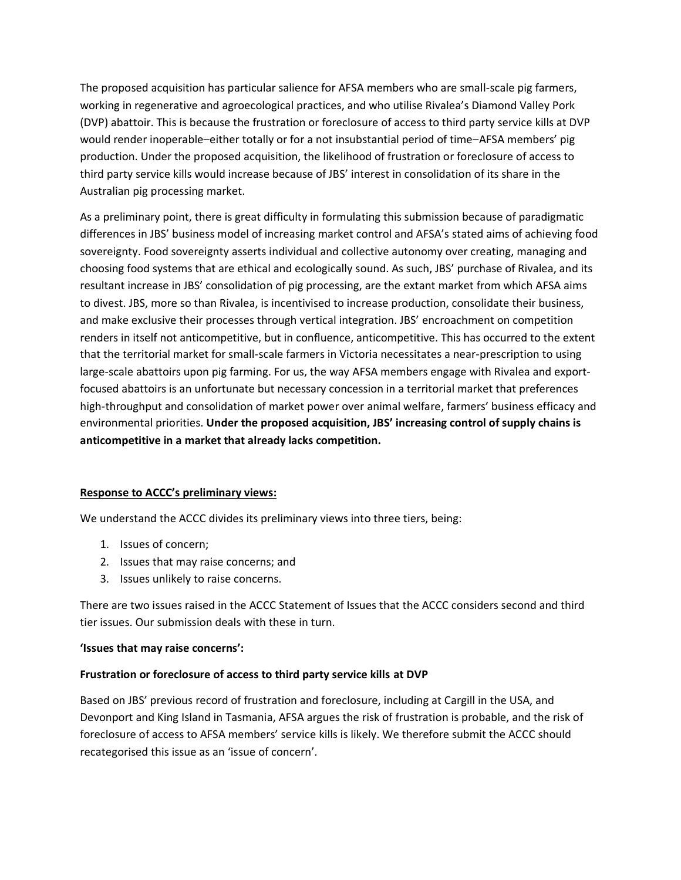The proposed acquisition has particular salience for AFSA members who are small-scale pig farmers, working in regenerative and agroecological practices, and who utilise Rivalea's Diamond Valley Pork (DVP) abattoir. This is because the frustration or foreclosure of access to third party service kills at DVP would render inoperable–either totally or for a not insubstantial period of time–AFSA members' pig production. Under the proposed acquisition, the likelihood of frustration or foreclosure of access to third party service kills would increase because of JBS' interest in consolidation of its share in the Australian pig processing market.

As a preliminary point, there is great difficulty in formulating this submission because of paradigmatic differences in JBS' business model of increasing market control and AFSA's stated aims of achieving food sovereignty. Food sovereignty asserts individual and collective autonomy over creating, managing and choosing food systems that are ethical and ecologically sound. As such, JBS' purchase of Rivalea, and its resultant increase in JBS' consolidation of pig processing, are the extant market from which AFSA aims to divest. JBS, more so than Rivalea, is incentivised to increase production, consolidate their business, and make exclusive their processes through vertical integration. JBS' encroachment on competition renders in itself not anticompetitive, but in confluence, anticompetitive. This has occurred to the extent that the territorial market for small-scale farmers in Victoria necessitates a near-prescription to using large-scale abattoirs upon pig farming. For us, the way AFSA members engage with Rivalea and exportfocused abattoirs is an unfortunate but necessary concession in a territorial market that preferences high-throughput and consolidation of market power over animal welfare, farmers' business efficacy and environmental priorities. **Under the proposed acquisition, JBS' increasing control of supply chains is anticompetitive in a market that already lacks competition.**

## **Response to ACCC's preliminary views:**

We understand the ACCC divides its preliminary views into three tiers, being:

- 1. Issues of concern;
- 2. Issues that may raise concerns; and
- 3. Issues unlikely to raise concerns.

There are two issues raised in the ACCC Statement of Issues that the ACCC considers second and third tier issues. Our submission deals with these in turn.

#### **'Issues that may raise concerns':**

#### **Frustration or foreclosure of access to third party service kills at DVP**

Based on JBS' previous record of frustration and foreclosure, including at Cargill in the USA, and Devonport and King Island in Tasmania, AFSA argues the risk of frustration is probable, and the risk of foreclosure of access to AFSA members' service kills is likely. We therefore submit the ACCC should recategorised this issue as an 'issue of concern'.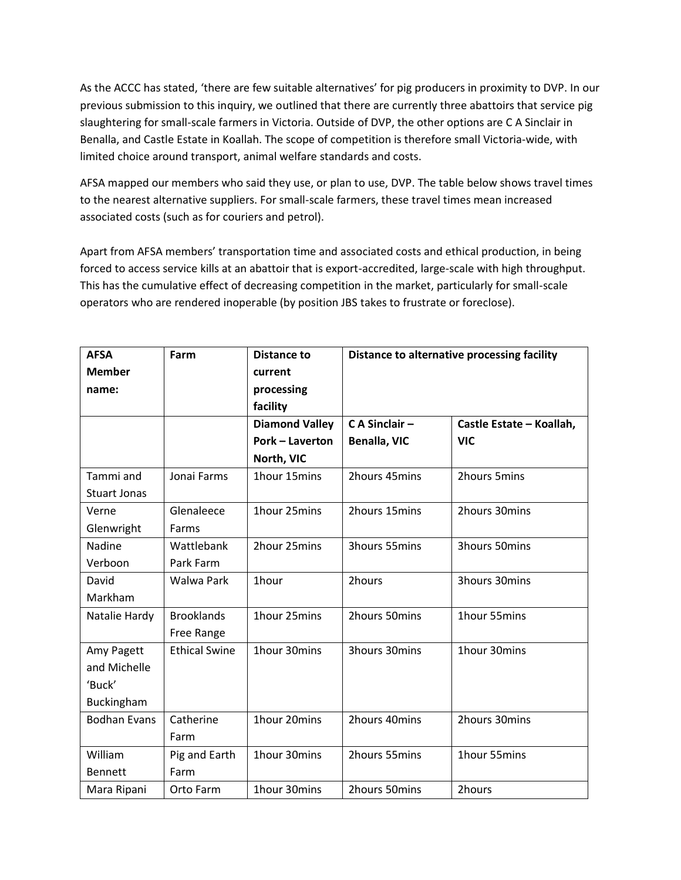As the ACCC has stated, 'there are few suitable alternatives' for pig producers in proximity to DVP. In our previous submission to this inquiry, we outlined that there are currently three abattoirs that service pig slaughtering for small-scale farmers in Victoria. Outside of DVP, the other options are C A Sinclair in Benalla, and Castle Estate in Koallah. The scope of competition is therefore small Victoria-wide, with limited choice around transport, animal welfare standards and costs.

AFSA mapped our members who said they use, or plan to use, DVP. The table below shows travel times to the nearest alternative suppliers. For small-scale farmers, these travel times mean increased associated costs (such as for couriers and petrol).

Apart from AFSA members' transportation time and associated costs and ethical production, in being forced to access service kills at an abattoir that is export-accredited, large-scale with high throughput. This has the cumulative effect of decreasing competition in the market, particularly for small-scale operators who are rendered inoperable (by position JBS takes to frustrate or foreclose).

| <b>AFSA</b><br><b>Member</b> | Farm                 | <b>Distance to</b><br>current | Distance to alternative processing facility |                          |
|------------------------------|----------------------|-------------------------------|---------------------------------------------|--------------------------|
| name:                        |                      | processing                    |                                             |                          |
|                              |                      | facility                      |                                             |                          |
|                              |                      | <b>Diamond Valley</b>         | C A Sinclair -                              | Castle Estate - Koallah, |
|                              |                      | <b>Pork - Laverton</b>        | <b>Benalla, VIC</b>                         | <b>VIC</b>               |
|                              |                      | North, VIC                    |                                             |                          |
| Tammi and                    | Jonai Farms          | 1hour 15mins                  | 2hours 45mins                               | 2hours 5mins             |
| <b>Stuart Jonas</b>          |                      |                               |                                             |                          |
| Verne                        | Glenaleece           | 1hour 25mins                  | 2hours 15mins                               | 2hours 30mins            |
| Glenwright                   | Farms                |                               |                                             |                          |
| Nadine                       | Wattlebank           | 2hour 25mins                  | 3hours 55mins                               | 3hours 50mins            |
| Verboon                      | Park Farm            |                               |                                             |                          |
| David                        | Walwa Park           | 1hour                         | 2hours                                      | 3hours 30mins            |
| Markham                      |                      |                               |                                             |                          |
| Natalie Hardy                | <b>Brooklands</b>    | 1hour 25mins                  | 2hours 50mins                               | 1hour 55mins             |
|                              | Free Range           |                               |                                             |                          |
| Amy Pagett                   | <b>Ethical Swine</b> | 1hour 30mins                  | 3hours 30mins                               | 1hour 30mins             |
| and Michelle                 |                      |                               |                                             |                          |
| 'Buck'                       |                      |                               |                                             |                          |
| Buckingham                   |                      |                               |                                             |                          |
| <b>Bodhan Evans</b>          | Catherine            | 1hour 20mins                  | 2hours 40mins                               | 2hours 30mins            |
|                              | Farm                 |                               |                                             |                          |
| William                      | Pig and Earth        | 1hour 30mins                  | 2hours 55mins                               | 1hour 55mins             |
| <b>Bennett</b>               | Farm                 |                               |                                             |                          |
| Mara Ripani                  | Orto Farm            | 1hour 30mins                  | 2hours 50mins                               | 2hours                   |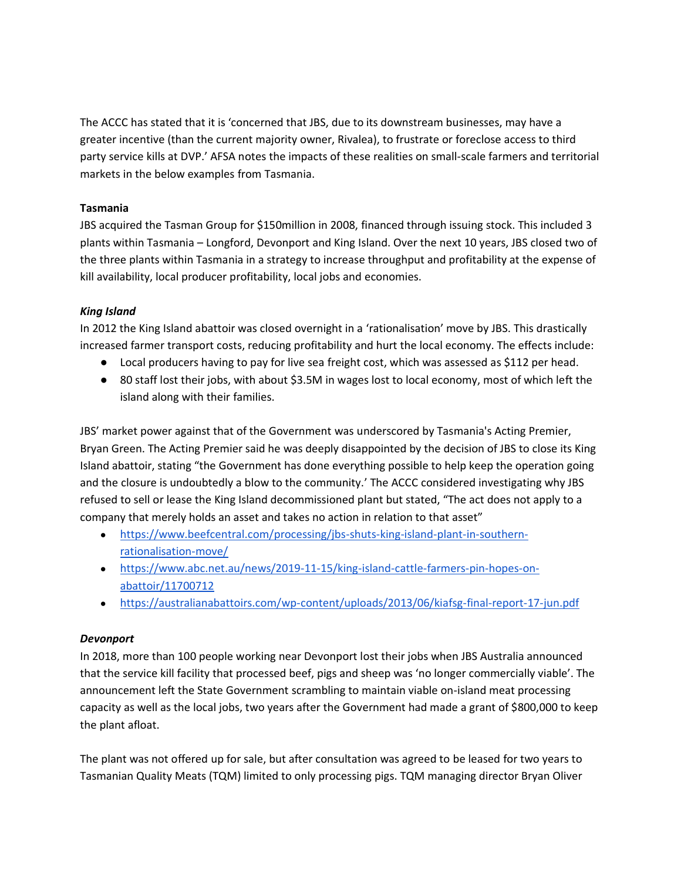The ACCC has stated that it is 'concerned that JBS, due to its downstream businesses, may have a greater incentive (than the current majority owner, Rivalea), to frustrate or foreclose access to third party service kills at DVP.' AFSA notes the impacts of these realities on small-scale farmers and territorial markets in the below examples from Tasmania.

## **Tasmania**

JBS acquired the Tasman Group for \$150million in 2008, financed through issuing stock. This included 3 plants within Tasmania – Longford, Devonport and King Island. Over the next 10 years, JBS closed two of the three plants within Tasmania in a strategy to increase throughput and profitability at the expense of kill availability, local producer profitability, local jobs and economies.

## *King Island*

In 2012 the King Island abattoir was closed overnight in a 'rationalisation' move by JBS. This drastically increased farmer transport costs, reducing profitability and hurt the local economy. The effects include:

- Local producers having to pay for live sea freight cost, which was assessed as \$112 per head.
- 80 staff lost their jobs, with about \$3.5M in wages lost to local economy, most of which left the island along with their families.

JBS' market power against that of the Government was underscored by Tasmania's Acting Premier, Bryan Green. The Acting Premier said he was deeply disappointed by the decision of JBS to close its King Island abattoir, stating "the Government has done everything possible to help keep the operation going and the closure is undoubtedly a blow to the community.' The ACCC considered investigating why JBS refused to sell or lease the King Island decommissioned plant but stated, "The act does not apply to a company that merely holds an asset and takes no action in relation to that asset"

- [https://www.beefcentral.com/processing/jbs-shuts-king-island-plant-in-southern](https://www.beefcentral.com/processing/jbs-shuts-king-island-plant-in-southern-rationalisation-move/)[rationalisation-move/](https://www.beefcentral.com/processing/jbs-shuts-king-island-plant-in-southern-rationalisation-move/)
- [https://www.abc.net.au/news/2019-11-15/king-island-cattle-farmers-pin-hopes-on](https://www.abc.net.au/news/2019-11-15/king-island-cattle-farmers-pin-hopes-on-abattoir/11700712)[abattoir/11700712](https://www.abc.net.au/news/2019-11-15/king-island-cattle-farmers-pin-hopes-on-abattoir/11700712)
- <https://australianabattoirs.com/wp-content/uploads/2013/06/kiafsg-final-report-17-jun.pdf>

#### *Devonport*

In 2018, more than 100 people working near Devonport lost their jobs when JBS Australia announced that the service kill facility that processed beef, pigs and sheep was 'no longer commercially viable'. The announcement left the State Government scrambling to maintain viable on-island meat processing capacity as well as the local jobs, two years after the Government had made a grant of \$800,000 to keep the plant afloat.

The plant was not offered up for sale, but after consultation was agreed to be leased for two years to Tasmanian Quality Meats (TQM) limited to only processing pigs. TQM managing director Bryan Oliver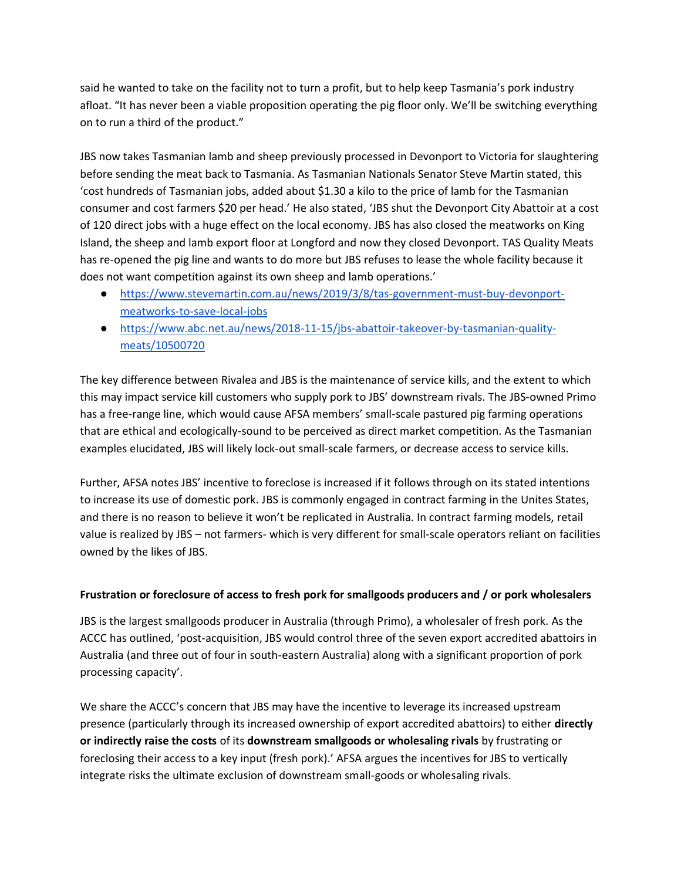said he wanted to take on the facility not to turn a profit, but to help keep Tasmania's pork industry afloat. "It has never been a viable proposition operating the pig floor only. We'll be switching everything on to run a third of the product."

JBS now takes Tasmanian lamb and sheep previously processed in Devonport to Victoria for slaughtering before sending the meat back to Tasmania. As Tasmanian Nationals Senator Steve Martin stated, this 'cost hundreds of Tasmanian jobs, added about \$1.30 a kilo to the price of lamb for the Tasmanian consumer and cost farmers \$20 per head.' He also stated, 'JBS shut the Devonport City Abattoir at a cost of 120 direct jobs with a huge effect on the local economy. JBS has also closed the meatworks on King Island, the sheep and lamb export floor at Longford and now they closed Devonport. TAS Quality Meats has re-opened the pig line and wants to do more but JBS refuses to lease the whole facility because it does not want competition against its own sheep and lamb operations.'

- [https://www.stevemartin.com.au/news/2019/3/8/tas-government-must-buy-devonport](https://www.stevemartin.com.au/news/2019/3/8/tas-government-must-buy-devonport-meatworks-to-save-local-jobs)[meatworks-to-save-local-jobs](https://www.stevemartin.com.au/news/2019/3/8/tas-government-must-buy-devonport-meatworks-to-save-local-jobs)
- [https://www.abc.net.au/news/2018-11-15/jbs-abattoir-takeover-by-tasmanian-quality](https://www.abc.net.au/news/2018-11-15/jbs-abattoir-takeover-by-tasmanian-quality-meats/10500720)[meats/10500720](https://www.abc.net.au/news/2018-11-15/jbs-abattoir-takeover-by-tasmanian-quality-meats/10500720)

The key difference between Rivalea and JBS is the maintenance of service kills, and the extent to which this may impact service kill customers who supply pork to JBS' downstream rivals. The JBS-owned Primo has a free-range line, which would cause AFSA members' small-scale pastured pig farming operations that are ethical and ecologically-sound to be perceived as direct market competition. As the Tasmanian examples elucidated, JBS will likely lock-out small-scale farmers, or decrease access to service kills.

Further, AFSA notes JBS' incentive to foreclose is increased if it follows through on its stated intentions to increase its use of domestic pork. JBS is commonly engaged in contract farming in the Unites States, and there is no reason to believe it won't be replicated in Australia. In contract farming models, retail value is realized by JBS – not farmers- which is very different for small-scale operators reliant on facilities owned by the likes of JBS.

## **Frustration or foreclosure of access to fresh pork for smallgoods producers and / or pork wholesalers**

JBS is the largest smallgoods producer in Australia (through Primo), a wholesaler of fresh pork. As the ACCC has outlined, 'post-acquisition, JBS would control three of the seven export accredited abattoirs in Australia (and three out of four in south-eastern Australia) along with a significant proportion of pork processing capacity'.

We share the ACCC's concern that JBS may have the incentive to leverage its increased upstream presence (particularly through its increased ownership of export accredited abattoirs) to either **directly or indirectly raise the costs** of its **downstream smallgoods or wholesaling rivals** by frustrating or foreclosing their access to a key input (fresh pork).' AFSA argues the incentives for JBS to vertically integrate risks the ultimate exclusion of downstream small-goods or wholesaling rivals.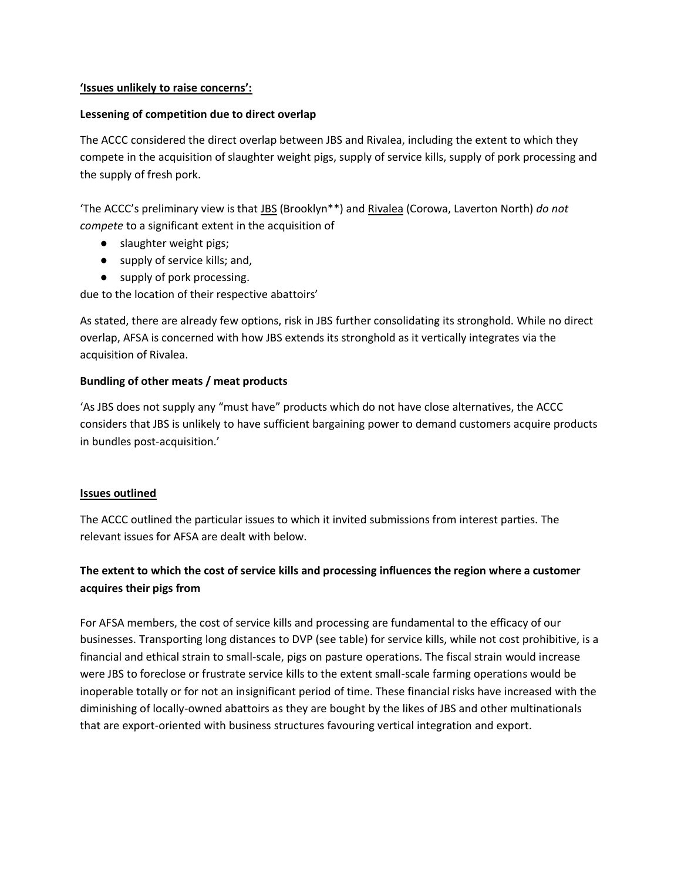#### **'Issues unlikely to raise concerns':**

#### **Lessening of competition due to direct overlap**

The ACCC considered the direct overlap between JBS and Rivalea, including the extent to which they compete in the acquisition of slaughter weight pigs, supply of service kills, supply of pork processing and the supply of fresh pork.

'The ACCC's preliminary view is that JBS (Brooklyn\*\*) and Rivalea (Corowa, Laverton North) *do not compete* to a significant extent in the acquisition of

- slaughter weight pigs;
- supply of service kills; and,
- supply of pork processing.

due to the location of their respective abattoirs'

As stated, there are already few options, risk in JBS further consolidating its stronghold. While no direct overlap, AFSA is concerned with how JBS extends its stronghold as it vertically integrates via the acquisition of Rivalea.

## **Bundling of other meats / meat products**

'As JBS does not supply any "must have" products which do not have close alternatives, the ACCC considers that JBS is unlikely to have sufficient bargaining power to demand customers acquire products in bundles post-acquisition.'

#### **Issues outlined**

The ACCC outlined the particular issues to which it invited submissions from interest parties. The relevant issues for AFSA are dealt with below.

## **The extent to which the cost of service kills and processing influences the region where a customer acquires their pigs from**

For AFSA members, the cost of service kills and processing are fundamental to the efficacy of our businesses. Transporting long distances to DVP (see table) for service kills, while not cost prohibitive, is a financial and ethical strain to small-scale, pigs on pasture operations. The fiscal strain would increase were JBS to foreclose or frustrate service kills to the extent small-scale farming operations would be inoperable totally or for not an insignificant period of time. These financial risks have increased with the diminishing of locally-owned abattoirs as they are bought by the likes of JBS and other multinationals that are export-oriented with business structures favouring vertical integration and export.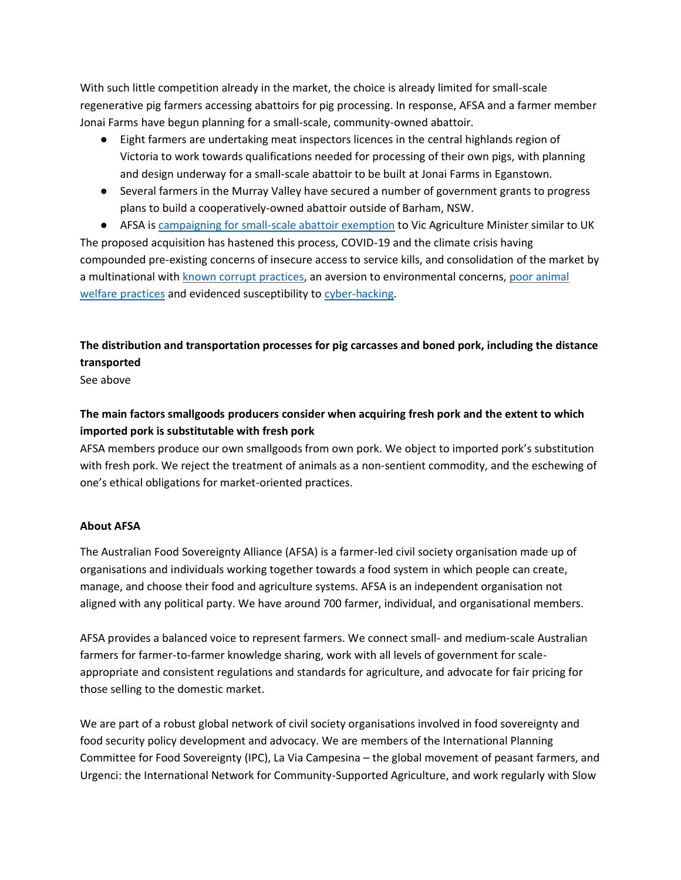With such little competition already in the market, the choice is already limited for small-scale regenerative pig farmers accessing abattoirs for pig processing. In response, AFSA and a farmer member Jonai Farms have begun planning for a small-scale, community-owned abattoir.

- Eight farmers are undertaking meat inspectors licences in the central highlands region of Victoria to work towards qualifications needed for processing of their own pigs, with planning and design underway for a small-scale abattoir to be built at Jonai Farms in Eganstown.
- Several farmers in the Murray Valley have secured a number of government grants to progress plans to build a cooperatively-owned abattoir outside of Barham, NSW.

● AFSA is campaigning [for small-scale abattoir exemption](https://afsa.org.au/blog/2021/06/09/victorian-producers-need-support-for-small-scale-and-local-abattoirs/) to Vic Agriculture Minister similar to UK The proposed acquisition has hastened this process, COVID-19 and the climate crisis having compounded pre-existing concerns of insecure access to service kills, and consolidation of the market by a multinational with [known corrupt practices,](https://www.bloomberg.com/news/articles/2021-07-15/brazil-s-batista-brothers-are-out-of-jail-and-worth-6-billion) an aversion to environmental concerns, poor [animal](https://awionline.org/press-releases/report-jbs-smithfield-worst-slaughter-plants-us)  [welfare practices](https://awionline.org/press-releases/report-jbs-smithfield-worst-slaughter-plants-us) and evidenced susceptibility t[o cyber-hacking.](https://www.abc.net.au/news/rural/2021-06-10/jbs-foods-pays-14million-ransom-cyber-attack/100204240)

# **The distribution and transportation processes for pig carcasses and boned pork, including the distance transported**

See above

# **The main factors smallgoods producers consider when acquiring fresh pork and the extent to which imported pork is substitutable with fresh pork**

AFSA members produce our own smallgoods from own pork. We object to imported pork's substitution with fresh pork. We reject the treatment of animals as a non-sentient commodity, and the eschewing of one's ethical obligations for market-oriented practices.

## **About AFSA**

The Australian Food Sovereignty Alliance (AFSA) is a farmer-led civil society organisation made up of organisations and individuals working together towards a food system in which people can create, manage, and choose their food and agriculture systems. AFSA is an independent organisation not aligned with any political party. We have around 700 farmer, individual, and organisational members.

AFSA provides a balanced voice to represent farmers. We connect small- and medium-scale Australian farmers for farmer-to-farmer knowledge sharing, work with all levels of government for scaleappropriate and consistent regulations and standards for agriculture, and advocate for fair pricing for those selling to the domestic market.

We are part of a robust global network of civil society organisations involved in food sovereignty and food security policy development and advocacy. We are members of the International Planning Committee for Food Sovereignty (IPC), La Via Campesina – the global movement of peasant farmers, and Urgenci: the International Network for Community-Supported Agriculture, and work regularly with Slow